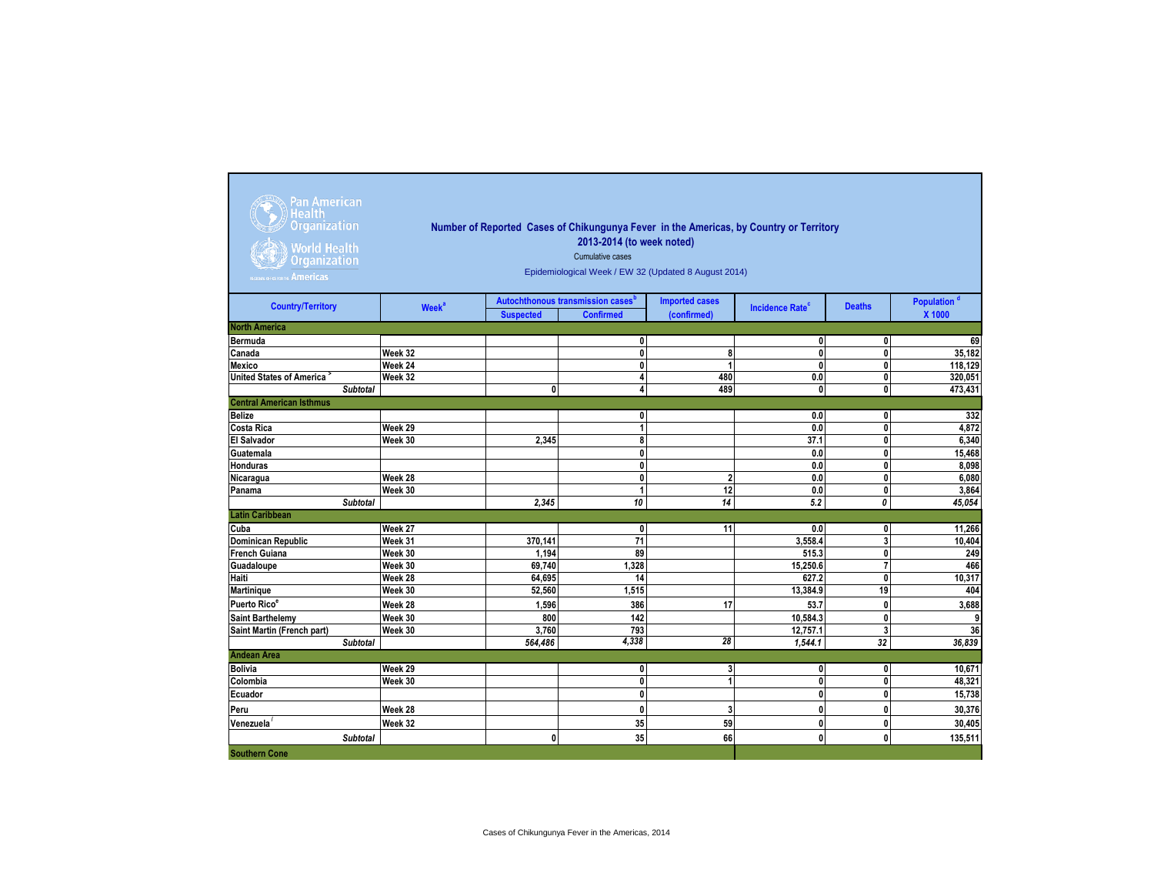| Pan American<br>Health<br><b>Organization</b><br><b>World Health</b><br><b>Organization</b><br><b>EGIONAL OFFICE FOR THE AMERICAS</b> | Number of Reported Cases of Chikungunya Fever in the Americas, by Country or Territory<br>2013-2014 (to week noted)<br>Cumulative cases<br>Epidemiological Week / EW 32 (Updated 8 August 2014) |                  |                                                                   |                                      |                                   |                |                                   |  |  |  |  |
|---------------------------------------------------------------------------------------------------------------------------------------|-------------------------------------------------------------------------------------------------------------------------------------------------------------------------------------------------|------------------|-------------------------------------------------------------------|--------------------------------------|-----------------------------------|----------------|-----------------------------------|--|--|--|--|
| <b>Country/Territory</b>                                                                                                              | <b>Week<sup>a</sup></b>                                                                                                                                                                         | <b>Suspected</b> | Autochthonous transmission cases <sup>b</sup><br><b>Confirmed</b> | <b>Imported cases</b><br>(confirmed) | <b>Incidence Rate<sup>c</sup></b> | <b>Deaths</b>  | Population <sup>d</sup><br>X 1000 |  |  |  |  |
| <b>North America</b>                                                                                                                  |                                                                                                                                                                                                 |                  |                                                                   |                                      |                                   |                |                                   |  |  |  |  |
| <b>Bermuda</b>                                                                                                                        |                                                                                                                                                                                                 |                  | 0                                                                 |                                      | $\mathbf{0}$                      | 0              | 69                                |  |  |  |  |
| Canada                                                                                                                                | Week 32                                                                                                                                                                                         |                  | $\bf{0}$                                                          | 8                                    | $\mathbf{0}$                      | $\mathbf 0$    | 35,182                            |  |  |  |  |
| Mexico                                                                                                                                | Week 24                                                                                                                                                                                         |                  | 0                                                                 | 1                                    | $\mathbf{0}$                      | 0              | 118,129                           |  |  |  |  |
| <b>United States of America</b>                                                                                                       | Week 32                                                                                                                                                                                         |                  | 4                                                                 | 480                                  | 0.0                               | 0              | 320,051                           |  |  |  |  |
| <b>Subtotal</b>                                                                                                                       |                                                                                                                                                                                                 | $\mathbf{0}$     | 4                                                                 | 489                                  | $\mathbf{0}$                      | $\mathbf{0}$   | 473,431                           |  |  |  |  |
| <b>Central American Isthmus</b>                                                                                                       |                                                                                                                                                                                                 |                  |                                                                   |                                      |                                   |                |                                   |  |  |  |  |
| <b>Belize</b>                                                                                                                         |                                                                                                                                                                                                 |                  | $\mathbf{0}$                                                      |                                      | 0.0                               | 0              | 332                               |  |  |  |  |
| <b>Costa Rica</b>                                                                                                                     | Week 29                                                                                                                                                                                         |                  | 1                                                                 |                                      | 0.0                               | $\mathbf{0}$   | 4,872                             |  |  |  |  |
| <b>El Salvador</b>                                                                                                                    | Week 30                                                                                                                                                                                         | 2,345            | 8                                                                 |                                      | 37.1                              | 0              | 6,340                             |  |  |  |  |
| Guatemala                                                                                                                             |                                                                                                                                                                                                 |                  | 0                                                                 |                                      | 0.0                               | 0              | 15,468                            |  |  |  |  |
| Honduras                                                                                                                              |                                                                                                                                                                                                 |                  | $\mathbf 0$                                                       |                                      | 0.0                               | $\mathbf 0$    | 8,098                             |  |  |  |  |
| Nicaragua                                                                                                                             | Week 28                                                                                                                                                                                         |                  | $\mathbf{0}$                                                      | $\overline{2}$                       | 0.0                               | 0              | 6,080                             |  |  |  |  |
| Panama                                                                                                                                | Week 30                                                                                                                                                                                         |                  | 1                                                                 | 12                                   | 0.0                               | 0              | 3,864                             |  |  |  |  |
| <b>Subtotal</b>                                                                                                                       |                                                                                                                                                                                                 | 2,345            | 10                                                                | 14                                   | 5.2                               | 0              | 45,054                            |  |  |  |  |
| <b>Latin Caribbean</b>                                                                                                                |                                                                                                                                                                                                 |                  |                                                                   |                                      |                                   |                |                                   |  |  |  |  |
| Cuba                                                                                                                                  | Week 27                                                                                                                                                                                         |                  | $\mathbf{0}$                                                      | 11                                   | 0.0                               | 0              | 11,266                            |  |  |  |  |
| Dominican Republic                                                                                                                    | Week 31                                                                                                                                                                                         | 370,141          | 71                                                                |                                      | 3.558.4                           | 3              | 10,404                            |  |  |  |  |
| <b>French Guiana</b>                                                                                                                  | Week 30                                                                                                                                                                                         | 1,194            | 89                                                                |                                      | 515.3                             | 0              | 249                               |  |  |  |  |
| Guadaloupe                                                                                                                            | Week 30                                                                                                                                                                                         | 69,740           | 1.328                                                             |                                      | 15.250.6                          | $\overline{7}$ | 466                               |  |  |  |  |
| Haiti                                                                                                                                 | Week 28                                                                                                                                                                                         | 64,695           | 14                                                                |                                      | 627.2                             | $\mathbf{0}$   | 10,317                            |  |  |  |  |
| Martinique                                                                                                                            | Week 30                                                                                                                                                                                         | 52,560           | 1,515                                                             |                                      | 13,384.9                          | 19             | 404                               |  |  |  |  |
| Puerto Rico <sup>e</sup>                                                                                                              | Week 28                                                                                                                                                                                         | 1,596            | 386                                                               | 17                                   | 53.7                              | $\mathbf{0}$   | 3,688                             |  |  |  |  |
| <b>Saint Barthelemv</b>                                                                                                               | Week 30                                                                                                                                                                                         | 800              | 142                                                               |                                      | 10.584.3                          | 0              | $\overline{9}$                    |  |  |  |  |
| Saint Martin (French part)                                                                                                            | Week 30                                                                                                                                                                                         | 3.760            | 793                                                               |                                      | 12.757.1                          | 3              | 36                                |  |  |  |  |
| <b>Subtotal</b>                                                                                                                       |                                                                                                                                                                                                 | 564,486          | 4,338                                                             | 28                                   | 1,544.1                           | 32             | 36,839                            |  |  |  |  |
| <b>Andean Area</b>                                                                                                                    |                                                                                                                                                                                                 |                  |                                                                   |                                      |                                   |                |                                   |  |  |  |  |
| <b>Bolivia</b>                                                                                                                        | Week 29                                                                                                                                                                                         |                  | $\mathbf 0$                                                       | 3                                    | $\mathbf{0}$                      | 0              | 10,671                            |  |  |  |  |
| Colombia                                                                                                                              | Week 30                                                                                                                                                                                         |                  | 0                                                                 | 1                                    | $\mathbf 0$                       | $\mathbf 0$    | 48,321                            |  |  |  |  |
| Ecuador                                                                                                                               |                                                                                                                                                                                                 |                  | $\mathbf{0}$                                                      |                                      | $\mathbf{0}$                      | $\mathbf 0$    | 15,738                            |  |  |  |  |
| Peru                                                                                                                                  | Week 28                                                                                                                                                                                         |                  | 0                                                                 | 3                                    | $\mathbf{0}$                      | 0              | 30,376                            |  |  |  |  |
| Venezuela                                                                                                                             | Week 32                                                                                                                                                                                         |                  | 35                                                                | 59                                   | $\mathbf{0}$                      | 0              | 30.405                            |  |  |  |  |
|                                                                                                                                       |                                                                                                                                                                                                 |                  |                                                                   |                                      |                                   |                |                                   |  |  |  |  |
| <b>Subtotal</b>                                                                                                                       |                                                                                                                                                                                                 | 0                | 35                                                                | 66                                   | $\mathbf{0}$                      | $\mathbf{0}$   | 135,511                           |  |  |  |  |
| <b>Southern Cone</b>                                                                                                                  |                                                                                                                                                                                                 |                  |                                                                   |                                      |                                   |                |                                   |  |  |  |  |